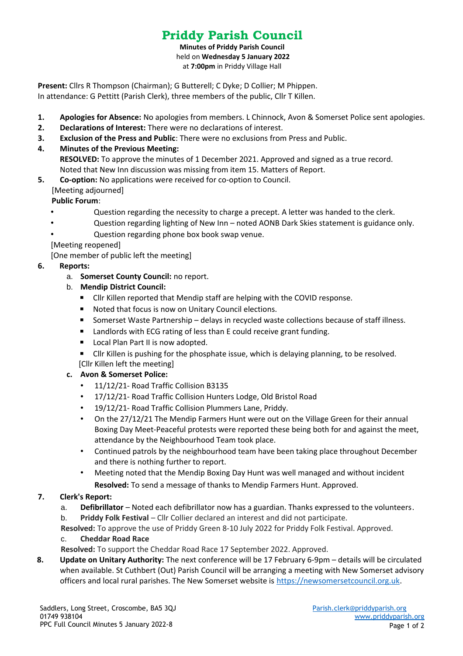# **Priddy Parish Council**

**Minutes of Priddy Parish Council** held on **Wednesday 5 January 2022** at **7:00pm** in Priddy Village Hall

**Present:** Cllrs R Thompson (Chairman); G Butterell; C Dyke; D Collier; M Phippen. In attendance: G Pettitt (Parish Clerk), three members of the public, Cllr T Killen.

- **1. Apologies for Absence:** No apologies from members. L Chinnock, Avon & Somerset Police sent apologies.
- **2. Declarations of Interest:** There were no declarations of interest.
- **3. Exclusion of the Press and Public**: There were no exclusions from Press and Public.
- **4. Minutes of the Previous Meeting:**

**RESOLVED:** To approve the minutes of 1 December 2021. Approved and signed as a true record. Noted that New Inn discussion was missing from item 15. Matters of Report.

**5. Co-option:** No applications were received for co-option to Council. [Meeting adjourned]

**Public Forum**:

- Question regarding the necessity to charge a precept. A letter was handed to the clerk.
- Question regarding lighting of New Inn noted AONB Dark Skies statement is guidance only.
- Question regarding phone box book swap venue.

[Meeting reopened]

[One member of public left the meeting]

## **6. Reports:**

- a. **Somerset County Council:** no report.
- b. **Mendip District Council:**
	- Cllr Killen reported that Mendip staff are helping with the COVID response.
	- Noted that focus is now on Unitary Council elections.
	- Somerset Waste Partnership delays in recycled waste collections because of staff illness.
	- Landlords with ECG rating of less than E could receive grant funding.
	- Local Plan Part II is now adopted.

■ Cllr Killen is pushing for the phosphate issue, which is delaying planning, to be resolved. [Cllr Killen left the meeting]

## **c. Avon & Somerset Police:**

- 11/12/21- Road Traffic Collision B3135
- 17/12/21- Road Traffic Collision Hunters Lodge, Old Bristol Road
- 19/12/21- Road Traffic Collision Plummers Lane, Priddy.
- On the 27/12/21 The Mendip Farmers Hunt were out on the Village Green for their annual Boxing Day Meet-Peaceful protests were reported these being both for and against the meet, attendance by the Neighbourhood Team took place.
- Continued patrols by the neighbourhood team have been taking place throughout December and there is nothing further to report.
- Meeting noted that the Mendip Boxing Day Hunt was well managed and without incident **Resolved:** To send a message of thanks to Mendip Farmers Hunt. Approved.

# **7. Clerk's Report:**

- a. **Defibrillator** Noted each defibrillator now has a guardian. Thanks expressed to the volunteers.
- b. **Priddy Folk Festival** Cllr Collier declared an interest and did not participate.

**Resolved:** To approve the use of Priddy Green 8-10 July 2022 for Priddy Folk Festival. Approved.

## c. **Cheddar Road Race**

**Resolved:** To support the Cheddar Road Race 17 September 2022. Approved.

**8. Update on Unitary Authority:** The next conference will be 17 February 6-9pm – details will be circulated when available. St Cuthbert (Out) Parish Council will be arranging a meeting with New Somerset advisory officers and local rural parishes. The New Somerset website is [https://newsomersetcouncil.org.uk.](https://newsomersetcouncil.org.uk/)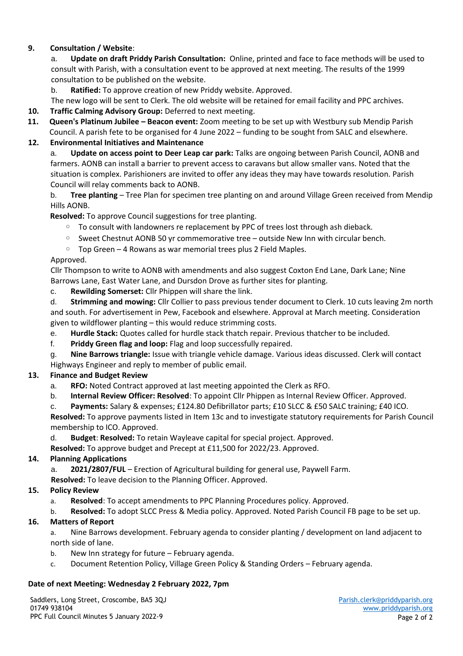## **9. Consultation / Website**:

a. **Update on draft Priddy Parish Consultation:** Online, printed and face to face methods will be used to consult with Parish, with a consultation event to be approved at next meeting. The results of the 1999 consultation to be published on the website.

b. **Ratified:** To approve creation of new Priddy website. Approved.

The new logo will be sent to Clerk. The old website will be retained for email facility and PPC archives.

- **10. Traffic Calming Advisory Group:** Deferred to next meeting.
- **11. Queen's Platinum Jubilee Beacon event:** Zoom meeting to be set up with Westbury sub Mendip Parish Council. A parish fete to be organised for 4 June 2022 – funding to be sought from SALC and elsewhere.

## **12. Environmental Initiatives and Maintenance**

a. **Update on access point to Deer Leap car park:** Talks are ongoing between Parish Council, AONB and farmers. AONB can install a barrier to prevent access to caravans but allow smaller vans. Noted that the situation is complex. Parishioners are invited to offer any ideas they may have towards resolution. Parish Council will relay comments back to AONB.

b. **Tree planting** – Tree Plan for specimen tree planting on and around Village Green received from Mendip Hills AONB.

**Resolved:** To approve Council suggestions for tree planting.

- To consult with landowners re replacement by PPC of trees lost through ash dieback.
- Sweet Chestnut AONB 50 yr commemorative tree outside New Inn with circular bench.
- Top Green 4 Rowans as war memorial trees plus 2 Field Maples.

## Approved.

Cllr Thompson to write to AONB with amendments and also suggest Coxton End Lane, Dark Lane; Nine Barrows Lane, East Water Lane, and Dursdon Drove as further sites for planting.

- c. **Rewilding Somerset:** Cllr Phippen will share the link.
- d. **Strimming and mowing:** Cllr Collier to pass previous tender document to Clerk. 10 cuts leaving 2m north and south. For advertisement in Pew, Facebook and elsewhere. Approval at March meeting. Consideration given to wildflower planting – this would reduce strimming costs.
- e. **Hurdle Stack:** Quotes called for hurdle stack thatch repair. Previous thatcher to be included.
- f. **Priddy Green flag and loop:** Flag and loop successfully repaired.
- g. **Nine Barrows triangle:** Issue with triangle vehicle damage. Various ideas discussed. Clerk will contact Highways Engineer and reply to member of public email.

# **13. Finance and Budget Review**

- a. **RFO:** Noted Contract approved at last meeting appointed the Clerk as RFO.
- b. **Internal Review Officer: Resolved**: To appoint Cllr Phippen as Internal Review Officer. Approved.

c. **Payments:** Salary & expenses; £124.80 Defibrillator parts; £10 SLCC & £50 SALC training; £40 ICO.

**Resolved:** To approve payments listed in Item 13c and to investigate statutory requirements for Parish Council membership to ICO. Approved.

d. **Budget**: **Resolved:** To retain Wayleave capital for special project. Approved.

## **Resolved:** To approve budget and Precept at £11,500 for 2022/23. Approved.

## **14. Planning Applications**

a. **2021/2807/FUL** – Erection of Agricultural building for general use, Paywell Farm.

**Resolved:** To leave decision to the Planning Officer. Approved.

## **15. Policy Review**

- a. **Resolved**: To accept amendments to PPC Planning Procedures policy. Approved.
- b. **Resolved:** To adopt SLCC Press & Media policy. Approved. Noted Parish Council FB page to be set up.

# **16. Matters of Report**

a. Nine Barrows development. February agenda to consider planting / development on land adjacent to north side of lane.

- b. New Inn strategy for future February agenda.
- c. Document Retention Policy, Village Green Policy & Standing Orders February agenda.

## **Date of next Meeting: Wednesday 2 February 2022, 7pm**

Saddlers, Long Street, Croscombe, BA5 3QJ 01749 938104 PPC Full Council Minutes 5 January 2022-9